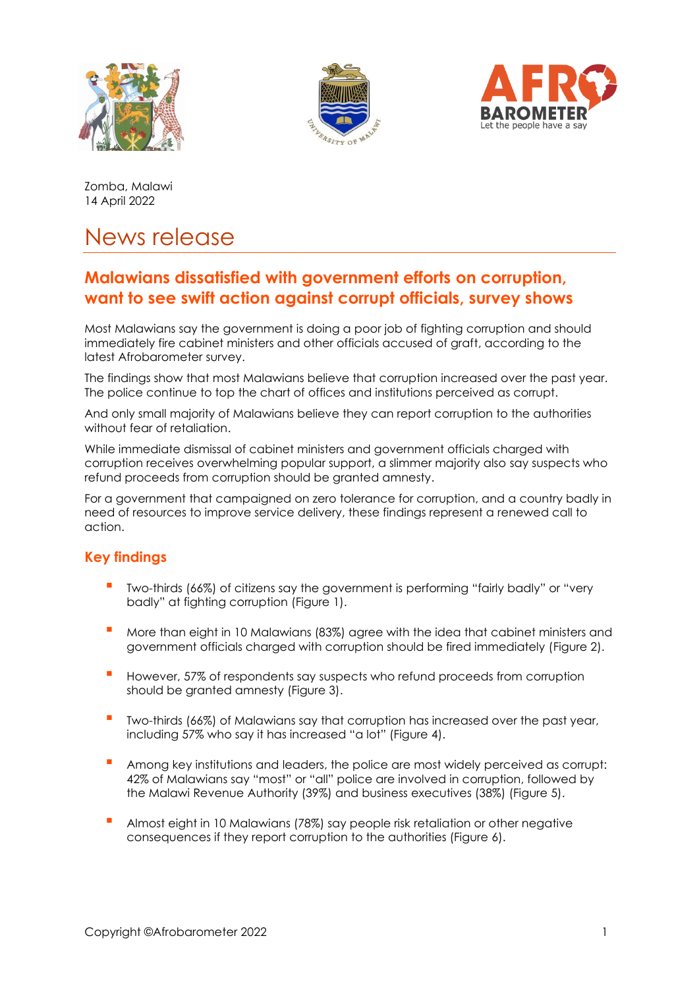





Zomba, Malawi 14 April 2022

# News release

# **Malawians dissatisfied with government efforts on corruption, want to see swift action against corrupt officials, survey shows**

Most Malawians say the government is doing a poor job of fighting corruption and should immediately fire cabinet ministers and other officials accused of graft, according to the latest Afrobarometer survey.

The findings show that most Malawians believe that corruption increased over the past year. The police continue to top the chart of offices and institutions perceived as corrupt.

And only small majority of Malawians believe they can report corruption to the authorities without fear of retaliation.

While immediate dismissal of cabinet ministers and government officials charged with corruption receives overwhelming popular support, a slimmer majority also say suspects who refund proceeds from corruption should be granted amnesty.

For a government that campaigned on zero tolerance for corruption, and a country badly in need of resources to improve service delivery, these findings represent a renewed call to action.

# **Key findings**

- **▪** Two-thirds (66%) of citizens say the government is performing "fairly badly" or "very badly" at fighting corruption (Figure 1).
- **▪** More than eight in 10 Malawians (83%) agree with the idea that cabinet ministers and government officials charged with corruption should be fired immediately (Figure 2).
- However, 57% of respondents say suspects who refund proceeds from corruption should be granted amnesty (Figure 3).
- **▪** Two-thirds (66%) of Malawians say that corruption has increased over the past year, including 57% who say it has increased "a lot" (Figure 4).
- **▪** Among key institutions and leaders, the police are most widely perceived as corrupt: 42% of Malawians say "most" or "all" police are involved in corruption, followed by the Malawi Revenue Authority (39%) and business executives (38%) (Figure 5).
- **▪** Almost eight in 10 Malawians (78%) say people risk retaliation or other negative consequences if they report corruption to the authorities (Figure 6).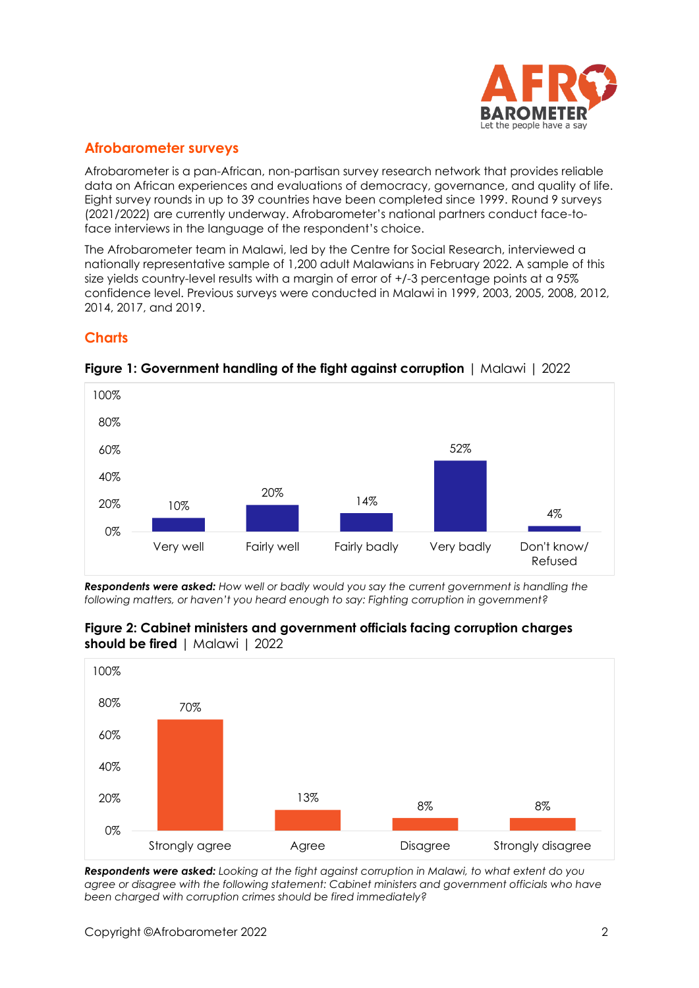

# **Afrobarometer surveys**

Afrobarometer is a pan-African, non-partisan survey research network that provides reliable data on African experiences and evaluations of democracy, governance, and quality of life. Eight survey rounds in up to 39 countries have been completed since 1999. Round 9 surveys (2021/2022) are currently underway. Afrobarometer's national partners conduct face-toface interviews in the language of the respondent's choice.

The Afrobarometer team in Malawi, led by the Centre for Social Research, interviewed a nationally representative sample of 1,200 adult Malawians in February 2022. A sample of this size yields country-level results with a margin of error of +/-3 percentage points at a 95% confidence level. Previous surveys were conducted in Malawi in 1999, 2003, 2005, 2008, 2012, 2014, 2017, and 2019.

# **Charts**



#### **Figure 1: Government handling of the fight against corruption** | Malawi | 2022

*Respondents were asked: How well or badly would you say the current government is handling the following matters, or haven't you heard enough to say: Fighting corruption in government?*



#### **Figure 2: Cabinet ministers and government officials facing corruption charges should be fired** | Malawi | 2022

*Respondents were asked: Looking at the fight against corruption in Malawi, to what extent do you agree or disagree with the following statement: Cabinet ministers and government officials who have been charged with corruption crimes should be fired immediately?*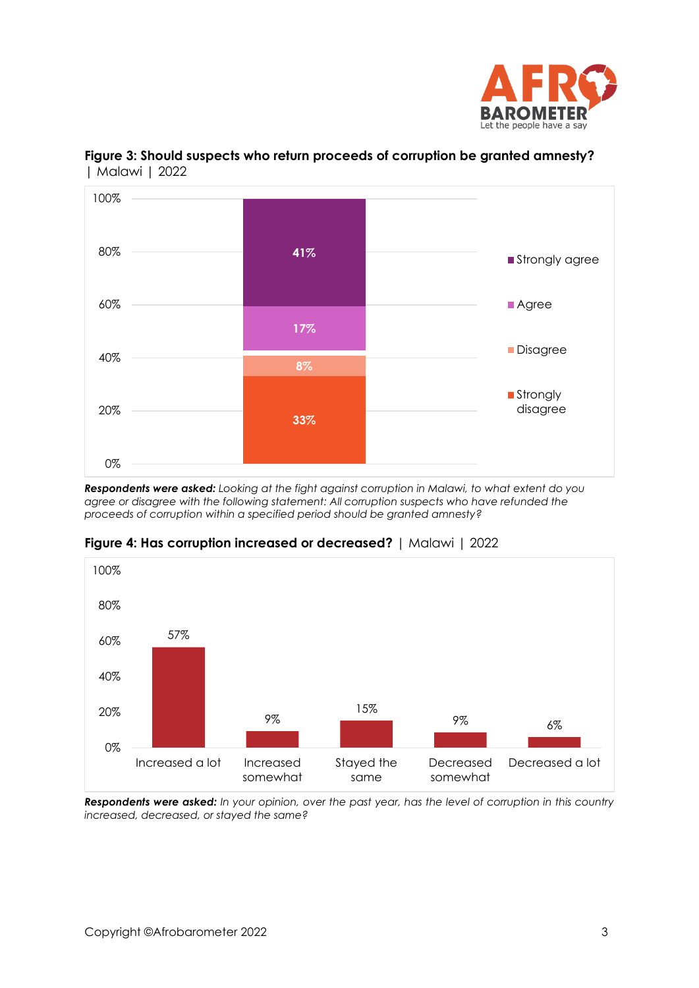



# **Figure 3: Should suspects who return proceeds of corruption be granted amnesty?**  | Malawi | 2022

*Respondents were asked: Looking at the fight against corruption in Malawi, to what extent do you agree or disagree with the following statement: All corruption suspects who have refunded the proceeds of corruption within a specified period should be granted amnesty?*



#### **Figure 4: Has corruption increased or decreased?** | Malawi | 2022

*Respondents were asked: In your opinion, over the past year, has the level of corruption in this country increased, decreased, or stayed the same?*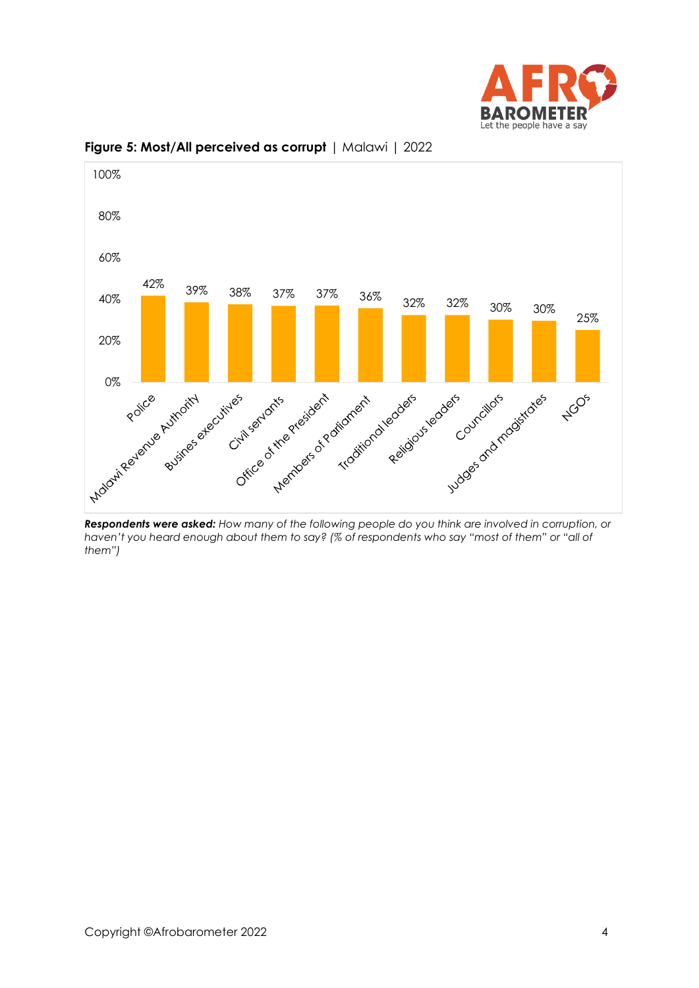



#### **Figure 5: Most/All perceived as corrupt** | Malawi | 2022

*Respondents were asked: How many of the following people do you think are involved in corruption, or haven't you heard enough about them to say? (% of respondents who say "most of them" or "all of them")*